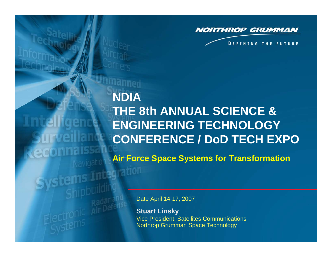

**DEFINING THE FUTURE** 

# **NDIA THE 8th ANNUAL SCIENCE & ENGINEERING TECHNOLOGY CONFERENCE / DoD TECH EXPOAir Force Space Systems for Transformation**

Date April 14-17, 2007

agration

**Stuart Linsky** Vice President, Satellites Communications Northrop Grumman Space Technology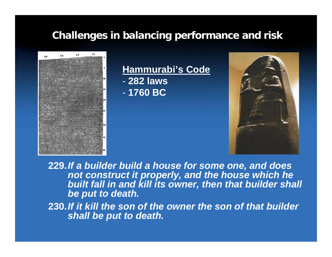# **Challenges in balancing performance and risk Challenges in balancing performance and risk**



**Hammurabi's Code** - **282 laws** 

- **1760 BC** 



**229.***If a builder build a house for some one, and does not construct it properly, and the house which he built fall in and kill its owner, then that builder shall be put to death.*

**230.***If it kill the son of the owner the son of that builder shall be put to death.*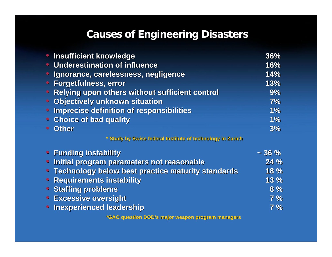# **Causes of Engineering Disasters Causes of Engineering Disasters**

|           | • Insufficient knowledge                                   | 36%         |
|-----------|------------------------------------------------------------|-------------|
|           | • Underestimation of influence                             | 16%         |
|           | • Ignorance, carelessness, negligence                      | 14%         |
|           | <b>• Forgetfulness, error</b>                              | 13%         |
|           | • Relying upon others without sufficient control           | 9%          |
|           | • Objectively unknown situation                            | 7%          |
|           | • Imprecise definition of responsibilities                 | 1%          |
|           | • Choice of bad quality                                    | 1%          |
| $\bullet$ | <b>Other</b>                                               | 3%          |
|           | * Study by Swiss federal Institute of technology in Zurich |             |
|           | • Funding instability                                      | $\sim$ 36 % |
|           | • Initial program parameters not reasonable                | 24 %        |
|           | <b>• Technology below best practice maturity standards</b> | 18 %        |
|           | • Requirements instability                                 | 13%         |
|           | • Staffing problems                                        | 8%          |
|           | <b>• Excessive oversight</b>                               | 7%          |
|           | <b>Inexperienced leadership</b>                            | 7%          |

**\*GAO question DOD's major weapon program managers**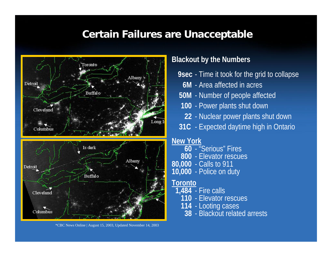# **Certain Failures are Unacceptable Certain Failures are Unacceptable**



\*CBC News Online | August 15, 2003, Updated November 14, 2003

#### **Blackout by the Numbers**

- **9sec**  Time it took for the grid to collapse
	- **6M**  Area affected in acres
- **50M**  Number of people affected
- **100**  Power plants shut down
- **22**  Nuclear power plants shut down
- **31C**  Expected daytime high in Ontario

### **New York**

- **60**  "Serious" Fires
- **800**  Elevator rescues
- **80,000**  Calls to 911
- **10,000**  Police on duty

### **Toronto**

- **1,484**  Fire calls
	- **110**  Elevator rescues
	- **114**  Looting cases
		- **38**  Blackout related arrests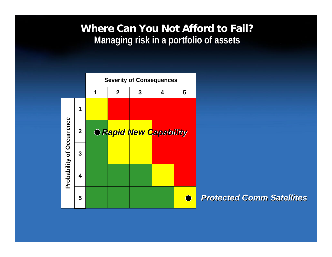## **Where Can You Not Afford to Fail? Where Can You Not Afford to Fail? Managing risk in a portfolio of assets Managing risk in a portfolio of assets**



*Protected Comm Satellites Protected Comm Satellites*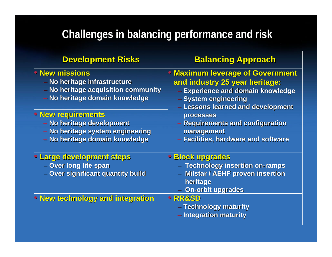# **Challenges in balancing performance and risk Challenges in balancing performance and risk**

| <b>Development Risks</b>                                                                                                                                                                                                                                     | <b>Balancing Approach</b>                                                                                                                                                 |  |
|--------------------------------------------------------------------------------------------------------------------------------------------------------------------------------------------------------------------------------------------------------------|---------------------------------------------------------------------------------------------------------------------------------------------------------------------------|--|
| <b>New missions</b><br>- No heritage infrastructure<br>- No heritage acquisition community<br>- No heritage domain knowledge<br><b>• New requirements</b><br>- No heritage development<br>- No heritage system engineering<br>- No heritage domain knowledge | <b>Maximum leverage of Government</b><br>and industry 25 year heritage:<br>- Experience and domain knowledge<br>- System engineering<br>- Lessons learned and development |  |
|                                                                                                                                                                                                                                                              | <b>processes</b><br>- Requirements and configuration<br>management<br>- Facilities, hardware and software                                                                 |  |
| Large development steps<br>- Over long life span<br>- Over significant quantity build                                                                                                                                                                        | <b>Block upgrades</b><br>- Technology insertion on-ramps<br>- Milstar / AEHF proven insertion<br>heritage<br><b>On-orbit upgrades</b>                                     |  |
| <b>• New technology and integration</b>                                                                                                                                                                                                                      | <b>RR&amp;SD</b><br>- Technology maturity<br>- Integration maturity                                                                                                       |  |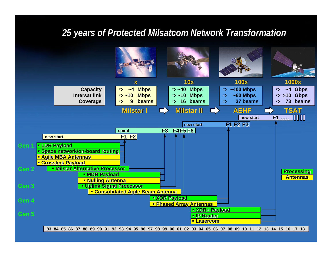### *25 years of Protected Milsatcom Network Transformation 25 years of Protected Milsatcom Network Transformation*

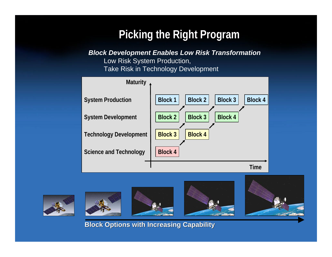# **Picking the Right Program**

*Block Development Enables Low Risk Transformation*

Low Risk System Production, Take Risk in Technology Development









**Block Options with Increasing Capability Block Options with Increasing Capability**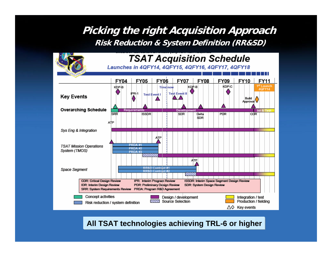## **Picking the right Acquisition Approach Picking the right Acquisition Approach Risk Reduction & System Definition (RR&SD) Risk Reduction & System Definition (RR&SD)**



#### **All TSAT technologies achieving TRL-6 or higher**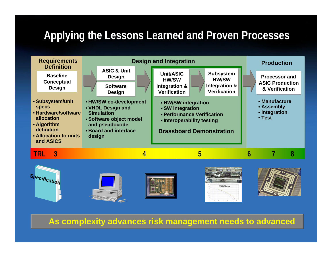# Applying the Lessons Learned and Proven Processes













**As complexity advances risk management needs to advanced**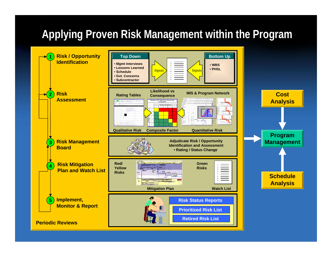# **Applying Proven Risk Management within the Program Applying Proven Risk Management within the Program**